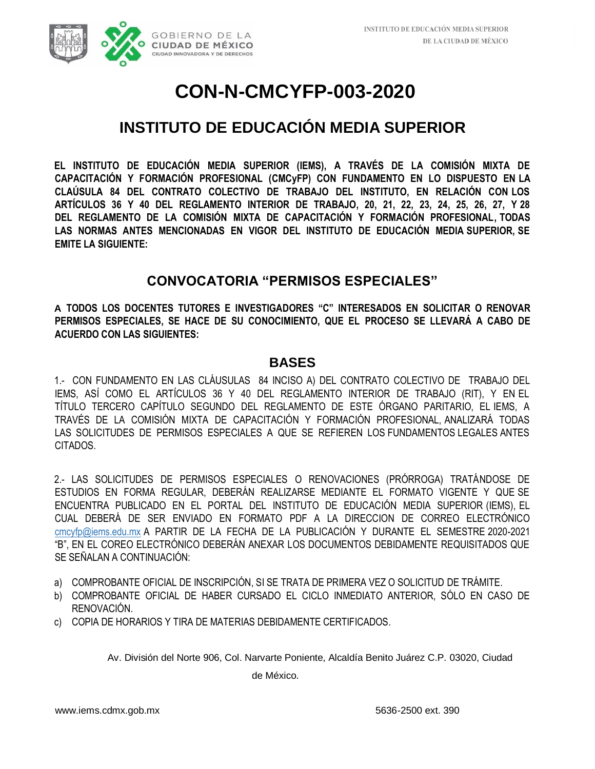

### **INSTITUTO DE EDUCACIÓN MEDIA SUPERIOR**

**EL INSTITUTO DE EDUCACIÓN MEDIA SUPERIOR (IEMS), A TRAVÉS DE LA COMISIÓN MIXTA DE CAPACITACIÓN Y FORMACIÓN PROFESIONAL (CMCyFP) CON FUNDAMENTO EN LO DISPUESTO EN LA CLAÚSULA 84 DEL CONTRATO COLECTIVO DE TRABAJO DEL INSTITUTO, EN RELACIÓN CON LOS ARTÍCULOS 36 Y 40 DEL REGLAMENTO INTERIOR DE TRABAJO, 20, 21, 22, 23, 24, 25, 26, 27, Y 28 DEL REGLAMENTO DE LA COMISIÓN MIXTA DE CAPACITACIÓN Y FORMACIÓN PROFESIONAL, TODAS LAS NORMAS ANTES MENCIONADAS EN VIGOR DEL INSTITUTO DE EDUCACIÓN MEDIA SUPERIOR, SE EMITE LA SIGUIENTE:** 

### **CONVOCATORIA "PERMISOS ESPECIALES"**

**A TODOS LOS DOCENTES TUTORES E INVESTIGADORES "C" INTERESADOS EN SOLICITAR O RENOVAR PERMISOS ESPECIALES, SE HACE DE SU CONOCIMIENTO, QUE EL PROCESO SE LLEVARÁ A CABO DE ACUERDO CON LAS SIGUIENTES:** 

#### **BASES**

1.- CON FUNDAMENTO EN LAS CLÁUSULAS 84 INCISO A) DEL CONTRATO COLECTIVO DE TRABAJO DEL IEMS, ASÍ COMO EL ARTÍCULOS 36 Y 40 DEL REGLAMENTO INTERIOR DE TRABAJO (RIT), Y EN EL TÍTULO TERCERO CAPÍTULO SEGUNDO DEL REGLAMENTO DE ESTE ÓRGANO PARITARIO, EL IEMS, A TRAVÉS DE LA COMISIÓN MIXTA DE CAPACITACIÓN Y FORMACIÓN PROFESIONAL, ANALIZARÁ TODAS LAS SOLICITUDES DE PERMISOS ESPECIALES A QUE SE REFIEREN LOS FUNDAMENTOS LEGALES ANTES CITADOS.

2.- LAS SOLICITUDES DE PERMISOS ESPECIALES O RENOVACIONES (PRÓRROGA) TRATÁNDOSE DE ESTUDIOS EN FORMA REGULAR, DEBERÁN REALIZARSE MEDIANTE EL FORMATO VIGENTE Y QUE SE ENCUENTRA PUBLICADO EN EL PORTAL DEL INSTITUTO DE EDUCACIÓN MEDIA SUPERIOR (IEMS), EL CUAL DEBERÁ DE SER ENVIADO EN FORMATO PDF A LA DIRECCION DE CORREO ELECTRÓNICO cmcyfp@iems.edu.mx A PARTIR DE LA FECHA DE LA PUBLICACIÓN Y DURANTE EL SEMESTRE 2020-2021 "B", EN EL COREO ELECTRÓNICO DEBERÁN ANEXAR LOS DOCUMENTOS DEBIDAMENTE REQUISITADOS QUE SE SEÑALAN A CONTINUACIÓN:

- a) COMPROBANTE OFICIAL DE INSCRIPCIÓN, SI SE TRATA DE PRIMERA VEZ O SOLICITUD DE TRÁMITE.
- b) COMPROBANTE OFICIAL DE HABER CURSADO EL CICLO INMEDIATO ANTERIOR, SÓLO EN CASO DE RENOVACIÓN.
- c) COPIA DE HORARIOS Y TIRA DE MATERIAS DEBIDAMENTE CERTIFICADOS.

Av. División del Norte 906, Col. Narvarte Poniente, Alcaldía Benito Juárez C.P. 03020, Ciudad

de México.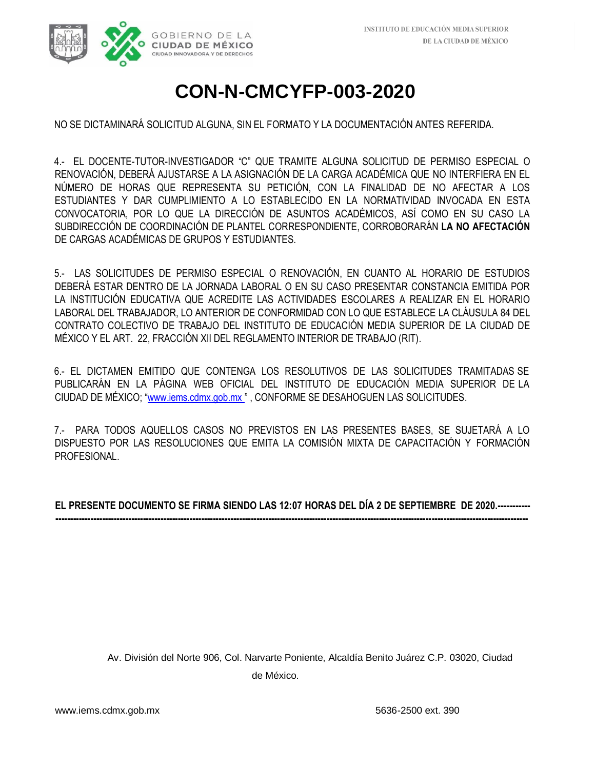

NO SE DICTAMINARÁ SOLICITUD ALGUNA, SIN EL FORMATO Y LA DOCUMENTACIÓN ANTES REFERIDA.

4.- EL DOCENTE-TUTOR-INVESTIGADOR "C" QUE TRAMITE ALGUNA SOLICITUD DE PERMISO ESPECIAL O RENOVACIÓN, DEBERÁ AJUSTARSE A LA ASIGNACIÓN DE LA CARGA ACADÉMICA QUE NO INTERFIERA EN EL NÚMERO DE HORAS QUE REPRESENTA SU PETICIÓN, CON LA FINALIDAD DE NO AFECTAR A LOS ESTUDIANTES Y DAR CUMPLIMIENTO A LO ESTABLECIDO EN LA NORMATIVIDAD INVOCADA EN ESTA CONVOCATORIA, POR LO QUE LA DIRECCIÓN DE ASUNTOS ACADÉMICOS, ASÍ COMO EN SU CASO LA SUBDIRECCIÓN DE COORDINACIÓN DE PLANTEL CORRESPONDIENTE, CORROBORARÁN **LA NO AFECTACIÓN** DE CARGAS ACADÉMICAS DE GRUPOS Y ESTUDIANTES.

5.- LAS SOLICITUDES DE PERMISO ESPECIAL O RENOVACIÓN, EN CUANTO AL HORARIO DE ESTUDIOS DEBERÁ ESTAR DENTRO DE LA JORNADA LABORAL O EN SU CASO PRESENTAR CONSTANCIA EMITIDA POR LA INSTITUCIÓN EDUCATIVA QUE ACREDITE LAS ACTIVIDADES ESCOLARES A REALIZAR EN EL HORARIO LABORAL DEL TRABAJADOR, LO ANTERIOR DE CONFORMIDAD CON LO QUE ESTABLECE LA CLÁUSULA 84 DEL CONTRATO COLECTIVO DE TRABAJO DEL INSTITUTO DE EDUCACIÓN MEDIA SUPERIOR DE LA CIUDAD DE MÉXICO Y EL ART. 22, FRACCIÓN XII DEL REGLAMENTO INTERIOR DE TRABAJO (RIT).

6.- EL DICTAMEN EMITIDO QUE CONTENGA LOS RESOLUTIVOS DE LAS SOLICITUDES TRAMITADAS SE PUBLICARÁN EN LA PÁGINA WEB OFICIAL DEL INSTITUTO DE EDUCACIÓN MEDIA SUPERIOR DE LA CIUDAD DE MÉXICO; ["](http://www.iems.cdmx.gob.mx/)[www.iems.cdmx.gob.mx](http://www.iems.cdmx.gob.mx/) ["](http://www.iems.cdmx.gob.mx/) , CONFORME SE DESAHOGUEN LAS SOLICITUDES.

7.- PARA TODOS AQUELLOS CASOS NO PREVISTOS EN LAS PRESENTES BASES, SE SUJETARÁ A LO DISPUESTO POR LAS RESOLUCIONES QUE EMITA LA COMISIÓN MIXTA DE CAPACITACIÓN Y FORMACIÓN PROFESIONAL.

**EL PRESENTE DOCUMENTO SE FIRMA SIENDO LAS 12:07 HORAS DEL DÍA 2 DE SEPTIEMBRE DE 2020.----------- ------------------------------------------------------------------------------------------------------------------------------------------------------------------**

> Av. División del Norte 906, Col. Narvarte Poniente, Alcaldía Benito Juárez C.P. 03020, Ciudad de México.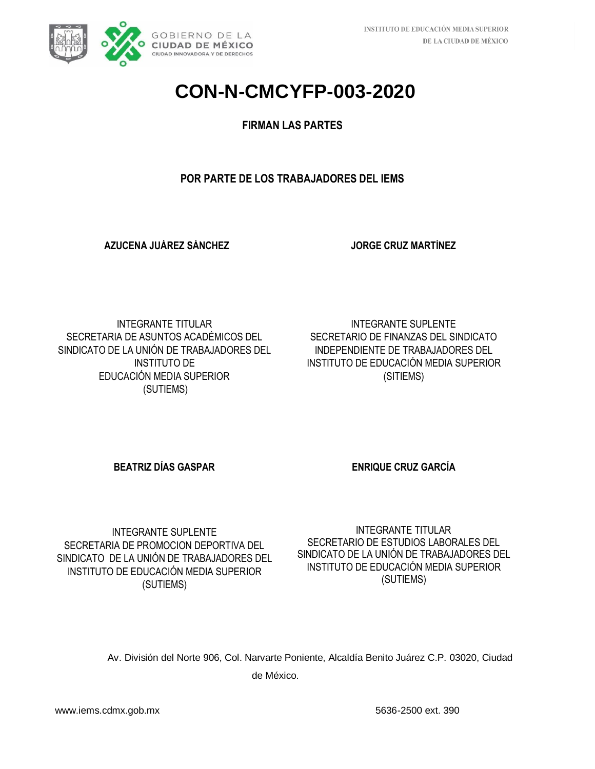

#### **FIRMAN LAS PARTES**

#### **POR PARTE DE LOS TRABAJADORES DEL IEMS**

**AZUCENA JUÁREZ SÁNCHEZ**

**JORGE CRUZ MARTÍNEZ**

INTEGRANTE TITULAR SECRETARIA DE ASUNTOS ACADÉMICOS DEL SINDICATO DE LA UNIÓN DE TRABAJADORES DEL INSTITUTO DE EDUCACIÓN MEDIA SUPERIOR (SUTIEMS)

INTEGRANTE SUPLENTE SECRETARIO DE FINANZAS DEL SINDICATO INDEPENDIENTE DE TRABAJADORES DEL INSTITUTO DE EDUCACIÓN MEDIA SUPERIOR (SITIEMS)

**BEATRIZ DÍAS GASPAR ENRIQUE CRUZ GARCÍA** 

INTEGRANTE SUPLENTE SECRETARIA DE PROMOCION DEPORTIVA DEL SINDICATO DE LA UNIÓN DE TRABAJADORES DEL INSTITUTO DE EDUCACIÓN MEDIA SUPERIOR (SUTIEMS)

INTEGRANTE TITULAR SECRETARIO DE ESTUDIOS LABORALES DEL SINDICATO DE LA UNIÓN DE TRABAJADORES DEL INSTITUTO DE EDUCACIÓN MEDIA SUPERIOR (SUTIEMS)

Av. División del Norte 906, Col. Narvarte Poniente, Alcaldía Benito Juárez C.P. 03020, Ciudad de México.